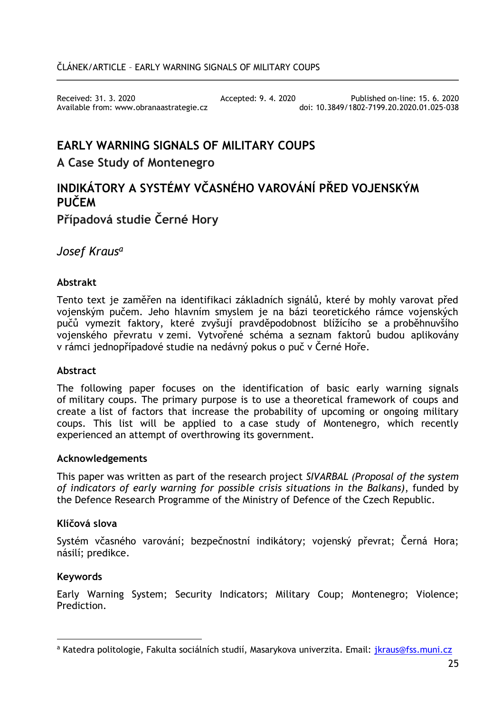Available from: www.obranaastrategie.cz

Received: 31. 3. 2020<br>Available from: www.obranaastrategie.cz doi: 10.3849/1802-7199.20.2020.01.025-038

# **EARLY WARNING SIGNALS OF MILITARY COUPS**

## **A Case Study of Montenegro**

# **INDIKÁTORY A SYSTÉMY VČASNÉHO VAROVÁNÍ PŘED VOJENSKÝM PUČEM Případová studie Černé Hory**

*Josef Kraus<sup>a</sup>*

## **Abstrakt**

Tento text je zaměřen na identifikaci základních signálů, které by mohly varovat před vojenským pučem. Jeho hlavním smyslem je na bázi teoretického rámce vojenských pučů vymezit faktory, které zvyšují pravděpodobnost blížícího se a proběhnuvšího vojenského převratu v zemi. Vytvořené schéma a seznam faktorů budou aplikovány v rámci jednopřípadové studie na nedávný pokus o puč v Černé Hoře.

### **Abstract**

The following paper focuses on the identification of basic early warning signals of military coups. The primary purpose is to use a theoretical framework of coups and create a list of factors that increase the probability of upcoming or ongoing military coups. This list will be applied to a case study of Montenegro, which recently experienced an attempt of overthrowing its government.

### **Acknowledgements**

This paper was written as part of the research project *SIVARBAL (Proposal of the system of indicators of early warning for possible crisis situations in the Balkans)*, funded by the Defence Research Programme of the Ministry of Defence of the Czech Republic.

### **Klíčová slova**

Systém včasného varování; bezpečnostní indikátory; vojenský převrat; Černá Hora; násilí; predikce.

### **Keywords**

Early Warning System; Security Indicators; Military Coup; Montenegro; Violence; **Prediction** 

 $\overline{a}$ <sup>a</sup> Katedra politologie, Fakulta sociálních studií, Masarykova univerzita. Email: [jkraus@fss.muni.cz](mailto:jkraus@fss.muni.cz)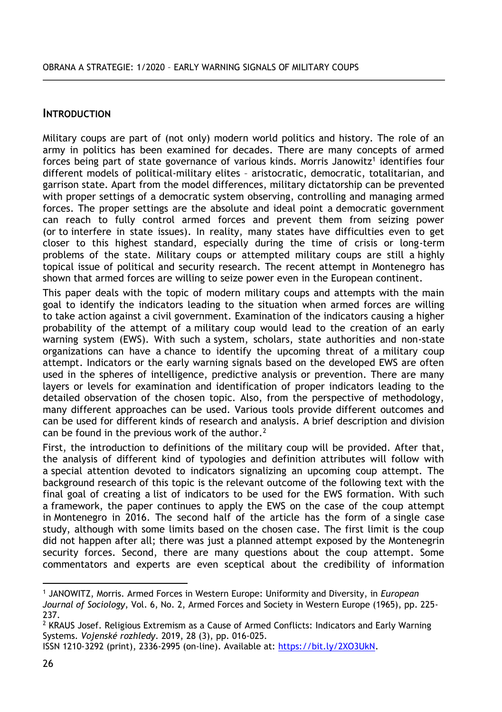## **INTRODUCTION**

Military coups are part of (not only) modern world politics and history. The role of an army in politics has been examined for decades. There are many concepts of armed forces being part of state governance of various kinds. Morris Janowitz<sup>1</sup> identifies four different models of political-military elites – aristocratic, democratic, totalitarian, and garrison state. Apart from the model differences, military dictatorship can be prevented with proper settings of a democratic system observing, controlling and managing armed forces. The proper settings are the absolute and ideal point a democratic government can reach to fully control armed forces and prevent them from seizing power (or to interfere in state issues). In reality, many states have difficulties even to get closer to this highest standard, especially during the time of crisis or long-term problems of the state. Military coups or attempted military coups are still a highly topical issue of political and security research. The recent attempt in Montenegro has shown that armed forces are willing to seize power even in the European continent.

This paper deals with the topic of modern military coups and attempts with the main goal to identify the indicators leading to the situation when armed forces are willing to take action against a civil government. Examination of the indicators causing a higher probability of the attempt of a military coup would lead to the creation of an early warning system (EWS). With such a system, scholars, state authorities and non-state organizations can have a chance to identify the upcoming threat of a military coup attempt. Indicators or the early warning signals based on the developed EWS are often used in the spheres of intelligence, predictive analysis or prevention. There are many layers or levels for examination and identification of proper indicators leading to the detailed observation of the chosen topic. Also, from the perspective of methodology, many different approaches can be used. Various tools provide different outcomes and can be used for different kinds of research and analysis. A brief description and division can be found in the previous work of the author. $2$ 

First, the introduction to definitions of the military coup will be provided. After that, the analysis of different kind of typologies and definition attributes will follow with a special attention devoted to indicators signalizing an upcoming coup attempt. The background research of this topic is the relevant outcome of the following text with the final goal of creating a list of indicators to be used for the EWS formation. With such a framework, the paper continues to apply the EWS on the case of the coup attempt in Montenegro in 2016. The second half of the article has the form of a single case study, although with some limits based on the chosen case. The first limit is the coup did not happen after all; there was just a planned attempt exposed by the Montenegrin security forces. Second, there are many questions about the coup attempt. Some commentators and experts are even sceptical about the credibility of information

<sup>1</sup> JANOWITZ, Morris. Armed Forces in Western Europe: Uniformity and Diversity, in *European Journal of Sociology*, Vol. 6, No. 2, Armed Forces and Society in Western Europe (1965), pp. 225- 237.

 $2$  KRAUS Josef. Religious Extremism as a Cause of Armed Conflicts: Indicators and Early Warning Systems. *Vojenské rozhledy*. 2019, 28 (3), pp. 016-025.

ISSN 1210-3292 (print), 2336-2995 (on-line). Available at[: https://bit.ly/2XO3UkN.](https://bit.ly/2XO3UkN)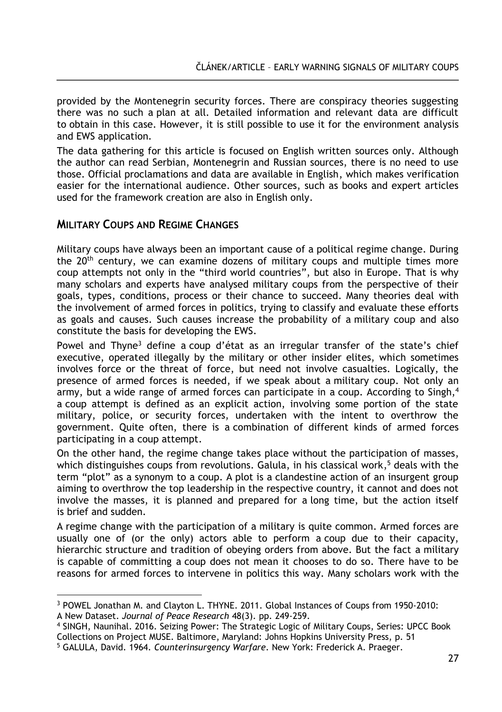provided by the Montenegrin security forces. There are conspiracy theories suggesting there was no such a plan at all. Detailed information and relevant data are difficult to obtain in this case. However, it is still possible to use it for the environment analysis and EWS application.

The data gathering for this article is focused on English written sources only. Although the author can read Serbian, Montenegrin and Russian sources, there is no need to use those. Official proclamations and data are available in English, which makes verification easier for the international audience. Other sources, such as books and expert articles used for the framework creation are also in English only.

## **MILITARY COUPS AND REGIME CHANGES**

 $\overline{a}$ 

Military coups have always been an important cause of a political regime change. During the 20<sup>th</sup> century, we can examine dozens of military coups and multiple times more coup attempts not only in the "third world countries", but also in Europe. That is why many scholars and experts have analysed military coups from the perspective of their goals, types, conditions, process or their chance to succeed. Many theories deal with the involvement of armed forces in politics, trying to classify and evaluate these efforts as goals and causes. Such causes increase the probability of a military coup and also constitute the basis for developing the EWS.

Powel and Thyne<sup>3</sup> define a coup d'état as an irregular transfer of the state's chief executive, operated illegally by the military or other insider elites, which sometimes involves force or the threat of force, but need not involve casualties. Logically, the presence of armed forces is needed, if we speak about a military coup. Not only an army, but a wide range of armed forces can participate in a coup. According to Singh, 4 a coup attempt is defined as an explicit action, involving some portion of the state military, police, or security forces, undertaken with the intent to overthrow the government. Quite often, there is a combination of different kinds of armed forces participating in a coup attempt.

On the other hand, the regime change takes place without the participation of masses, which distinguishes coups from revolutions. Galula, in his classical work, <sup>5</sup> deals with the term "plot" as a synonym to a coup. A plot is a clandestine action of an insurgent group aiming to overthrow the top leadership in the respective country, it cannot and does not involve the masses, it is planned and prepared for a long time, but the action itself is brief and sudden.

A regime change with the participation of a military is quite common. Armed forces are usually one of (or the only) actors able to perform a coup due to their capacity, hierarchic structure and tradition of obeying orders from above. But the fact a military is capable of committing a coup does not mean it chooses to do so. There have to be reasons for armed forces to intervene in politics this way. Many scholars work with the

<sup>3</sup> POWEL Jonathan M. and Clayton L. THYNE. 2011. Global Instances of Coups from 1950-2010: A New Dataset. *Journal of Peace Research* 48(3). pp. 249-259.

<sup>4</sup> SINGH, Naunihal. 2016. Seizing Power: The Strategic Logic of Military Coups, Series: UPCC Book Collections on Project MUSE. Baltimore, Maryland: Johns Hopkins University Press, p. 51

<sup>5</sup> GALULA, David. 1964. *Counterinsurgency Warfare*. New York: Frederick A. Praeger.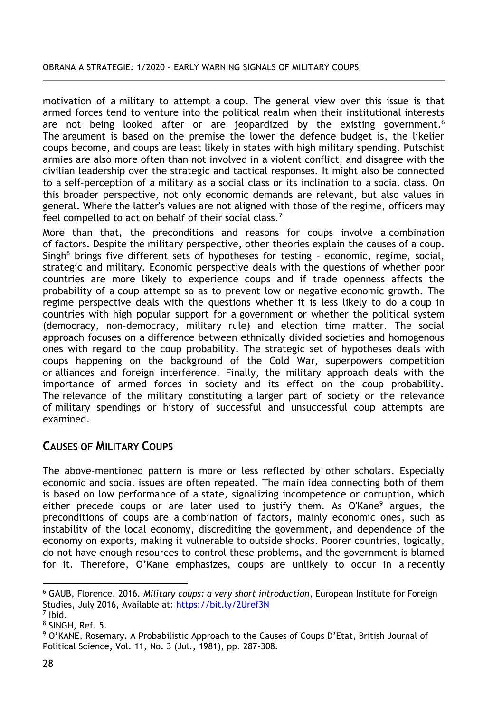#### OBRANA A STRATEGIE: 1/2020 – EARLY WARNING SIGNALS OF MILITARY COUPS

motivation of a military to attempt a coup. The general view over this issue is that armed forces tend to venture into the political realm when their institutional interests are not being looked after or are jeopardized by the existing government.<sup>6</sup> The argument is based on the premise the lower the defence budget is, the likelier coups become, and coups are least likely in states with high military spending. Putschist armies are also more often than not involved in a violent conflict, and disagree with the civilian leadership over the strategic and tactical responses. It might also be connected to a self-perception of a military as a social class or its inclination to a social class. On this broader perspective, not only economic demands are relevant, but also values in general. Where the latter's values are not aligned with those of the regime, officers may feel compelled to act on behalf of their social class.<sup>7</sup>

More than that, the preconditions and reasons for coups involve a combination of factors. Despite the military perspective, other theories explain the causes of a coup. Singh<sup>8</sup> brings five different sets of hypotheses for testing – economic, regime, social, strategic and military. Economic perspective deals with the questions of whether poor countries are more likely to experience coups and if trade openness affects the probability of a coup attempt so as to prevent low or negative economic growth. The regime perspective deals with the questions whether it is less likely to do a coup in countries with high popular support for a government or whether the political system (democracy, non-democracy, military rule) and election time matter. The social approach focuses on a difference between ethnically divided societies and homogenous ones with regard to the coup probability. The strategic set of hypotheses deals with coups happening on the background of the Cold War, superpowers competition or alliances and foreign interference. Finally, the military approach deals with the importance of armed forces in society and its effect on the coup probability. The relevance of the military constituting a larger part of society or the relevance of military spendings or history of successful and unsuccessful coup attempts are examined.

# **CAUSES OF MILITARY COUPS**

The above-mentioned pattern is more or less reflected by other scholars. Especially economic and social issues are often repeated. The main idea connecting both of them is based on low performance of a state, signalizing incompetence or corruption, which either precede coups or are later used to justify them. As O'Kane<sup>9</sup> argues, the preconditions of coups are a combination of factors, mainly economic ones, such as instability of the local economy, discrediting the government, and dependence of the economy on exports, making it vulnerable to outside shocks. Poorer countries, logically, do not have enough resources to control these problems, and the government is blamed for it. Therefore, O'Kane emphasizes, coups are unlikely to occur in a recently

 $\overline{a}$ <sup>6</sup> GAUB, Florence. 2016. *Military coups: a very short introduction*, European Institute for Foreign Studies, July 2016, Available at:<https://bit.ly/2Uref3N>

<sup>7</sup> Ibid.

<sup>8</sup> SINGH, Ref. 5.

<sup>9</sup> O'KANE, Rosemary. A Probabilistic Approach to the Causes of Coups D'Etat, British Journal of Political Science, Vol. 11, No. 3 (Jul., 1981), pp. 287-308.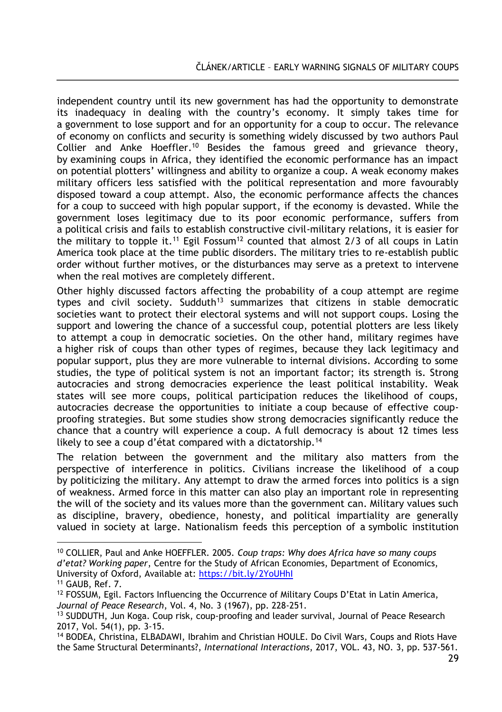independent country until its new government has had the opportunity to demonstrate its inadequacy in dealing with the country's economy. It simply takes time for a government to lose support and for an opportunity for a coup to occur. The relevance of economy on conflicts and security is something widely discussed by two authors Paul Collier and Anke Hoeffler.<sup>10</sup> Besides the famous greed and grievance theory, by examining coups in Africa, they identified the economic performance has an impact on potential plotters' willingness and ability to organize a coup. A weak economy makes military officers less satisfied with the political representation and more favourably disposed toward a coup attempt. Also, the economic performance affects the chances for a coup to succeed with high popular support, if the economy is devasted. While the government loses legitimacy due to its poor economic performance, suffers from a political crisis and fails to establish constructive civil-military relations, it is easier for the military to topple it.<sup>11</sup> Egil Fossum<sup>12</sup> counted that almost 2/3 of all coups in Latin America took place at the time public disorders. The military tries to re-establish public order without further motives, or the disturbances may serve as a pretext to intervene when the real motives are completely different.

Other highly discussed factors affecting the probability of a coup attempt are regime types and civil society. Sudduth<sup>13</sup> summarizes that citizens in stable democratic societies want to protect their electoral systems and will not support coups. Losing the support and lowering the chance of a successful coup, potential plotters are less likely to attempt a coup in democratic societies. On the other hand, military regimes have a higher risk of coups than other types of regimes, because they lack legitimacy and popular support, plus they are more vulnerable to internal divisions. According to some studies, the type of political system is not an important factor; its strength is. Strong autocracies and strong democracies experience the least political instability. Weak states will see more coups, political participation reduces the likelihood of coups, autocracies decrease the opportunities to initiate a coup because of effective coupproofing strategies. But some studies show strong democracies significantly reduce the chance that a country will experience a coup. A full democracy is about 12 times less likely to see a coup d'état compared with a dictatorship.<sup>14</sup>

The relation between the government and the military also matters from the perspective of interference in politics. Civilians increase the likelihood of a coup by politicizing the military. Any attempt to draw the armed forces into politics is a sign of weakness. Armed force in this matter can also play an important role in representing the will of the society and its values more than the government can. Military values such as discipline, bravery, obedience, honesty, and political impartiality are generally valued in society at large. Nationalism feeds this perception of a symbolic institution

 $\overline{a}$ <sup>10</sup> COLLIER, Paul and Anke HOEFFLER. 2005. *Coup traps: Why does Africa have so many coups d'etat? Working paper*, Centre for the Study of African Economies, Department of Economics, University of Oxford, Available at:<https://bit.ly/2YoUHhI>

<sup>11</sup> GAUB, Ref. 7.

<sup>12</sup> FOSSUM, Egil. Factors Influencing the Occurrence of Military Coups D'Etat in Latin America, *Journal of Peace Research*, Vol. 4, No. 3 (1967), pp. 228-251.

<sup>&</sup>lt;sup>13</sup> SUDDUTH, Jun Koga. Coup risk, coup-proofing and leader survival, Journal of Peace Research 2017, Vol. 54(1), pp. 3-15.

<sup>14</sup> BODEA, Christina, ELBADAWI, Ibrahim and Christian HOULE. Do Civil Wars, Coups and Riots Have the Same Structural Determinants?, *International Interactions*, 2017, VOL. 43, NO. 3, pp. 537-561.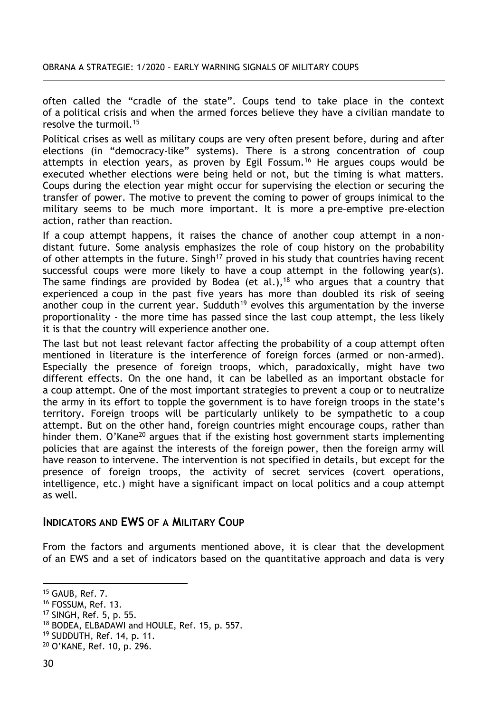often called the "cradle of the state". Coups tend to take place in the context of a political crisis and when the armed forces believe they have a civilian mandate to resolve the turmoil.<sup>15</sup>

Political crises as well as military coups are very often present before, during and after elections (in "democracy-like" systems). There is a strong concentration of coup attempts in election years, as proven by Egil Fossum.<sup>16</sup> He argues coups would be executed whether elections were being held or not, but the timing is what matters. Coups during the election year might occur for supervising the election or securing the transfer of power. The motive to prevent the coming to power of groups inimical to the military seems to be much more important. It is more a pre-emptive pre-election action, rather than reaction.

If a coup attempt happens, it raises the chance of another coup attempt in a nondistant future. Some analysis emphasizes the role of coup history on the probability of other attempts in the future. Singh<sup>17</sup> proved in his study that countries having recent successful coups were more likely to have a coup attempt in the following year(s). The same findings are provided by Bodea (et al.),<sup>18</sup> who argues that a country that experienced a coup in the past five years has more than doubled its risk of seeing another coup in the current year. Sudduth<sup>19</sup> evolves this argumentation by the inverse proportionality - the more time has passed since the last coup attempt, the less likely it is that the country will experience another one.

The last but not least relevant factor affecting the probability of a coup attempt often mentioned in literature is the interference of foreign forces (armed or non-armed). Especially the presence of foreign troops, which, paradoxically, might have two different effects. On the one hand, it can be labelled as an important obstacle for a coup attempt. One of the most important strategies to prevent a coup or to neutralize the army in its effort to topple the government is to have foreign troops in the state's territory. Foreign troops will be particularly unlikely to be sympathetic to a coup attempt. But on the other hand, foreign countries might encourage coups, rather than hinder them.  $O'$ Kane<sup>20</sup> argues that if the existing host government starts implementing policies that are against the interests of the foreign power, then the foreign army will have reason to intervene. The intervention is not specified in details, but except for the presence of foreign troops, the activity of secret services (covert operations, intelligence, etc.) might have a significant impact on local politics and a coup attempt as well.

## **INDICATORS AND EWS OF A MILITARY COUP**

From the factors and arguments mentioned above, it is clear that the development of an EWS and a set of indicators based on the quantitative approach and data is very

<sup>15</sup> GAUB, Ref. 7.

<sup>16</sup> FOSSUM, Ref. 13.

<sup>17</sup> SINGH, Ref. 5, p. 55.

<sup>18</sup> BODEA, ELBADAWI and HOULE, Ref. 15, p. 557.

<sup>19</sup> SUDDUTH, Ref. 14, p. 11.

<sup>20</sup> O'KANE, Ref. 10, p. 296.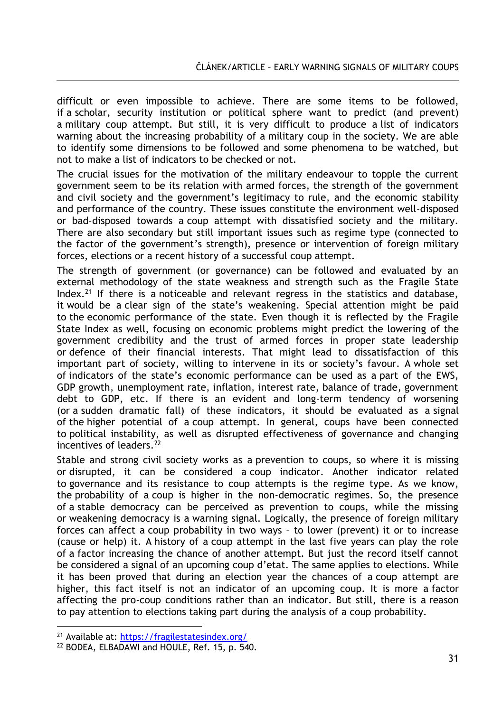difficult or even impossible to achieve. There are some items to be followed, if a scholar, security institution or political sphere want to predict (and prevent) a military coup attempt. But still, it is very difficult to produce a list of indicators warning about the increasing probability of a military coup in the society. We are able to identify some dimensions to be followed and some phenomena to be watched, but not to make a list of indicators to be checked or not.

The crucial issues for the motivation of the military endeavour to topple the current government seem to be its relation with armed forces, the strength of the government and civil society and the government's legitimacy to rule, and the economic stability and performance of the country. These issues constitute the environment well-disposed or bad-disposed towards a coup attempt with dissatisfied society and the military. There are also secondary but still important issues such as regime type (connected to the factor of the government's strength), presence or intervention of foreign military forces, elections or a recent history of a successful coup attempt.

The strength of government (or governance) can be followed and evaluated by an external methodology of the state weakness and strength such as the Fragile State Index.<sup>21</sup> If there is a noticeable and relevant regress in the statistics and database, it would be a clear sign of the state's weakening. Special attention might be paid to the economic performance of the state. Even though it is reflected by the Fragile State Index as well, focusing on economic problems might predict the lowering of the government credibility and the trust of armed forces in proper state leadership or defence of their financial interests. That might lead to dissatisfaction of this important part of society, willing to intervene in its or society's favour. A whole set of indicators of the state's economic performance can be used as a part of the EWS, GDP growth, unemployment rate, inflation, interest rate, balance of trade, government debt to GDP, etc. If there is an evident and long-term tendency of worsening (or a sudden dramatic fall) of these indicators, it should be evaluated as a signal of the higher potential of a coup attempt. In general, coups have been connected to political instability, as well as disrupted effectiveness of governance and changing incentives of leaders.<sup>22</sup>

Stable and strong civil society works as a prevention to coups, so where it is missing or disrupted, it can be considered a coup indicator. Another indicator related to governance and its resistance to coup attempts is the regime type. As we know, the probability of a coup is higher in the non-democratic regimes. So, the presence of a stable democracy can be perceived as prevention to coups, while the missing or weakening democracy is a warning signal. Logically, the presence of foreign military forces can affect a coup probability in two ways – to lower (prevent) it or to increase (cause or help) it. A history of a coup attempt in the last five years can play the role of a factor increasing the chance of another attempt. But just the record itself cannot be considered a signal of an upcoming coup d'etat. The same applies to elections. While it has been proved that during an election year the chances of a coup attempt are higher, this fact itself is not an indicator of an upcoming coup. It is more a factor affecting the pro-coup conditions rather than an indicator. But still, there is a reason to pay attention to elections taking part during the analysis of a coup probability.

<sup>21</sup> Available at:<https://fragilestatesindex.org/>

<sup>22</sup> BODEA, ELBADAWI and HOULE, Ref. 15, p. 540.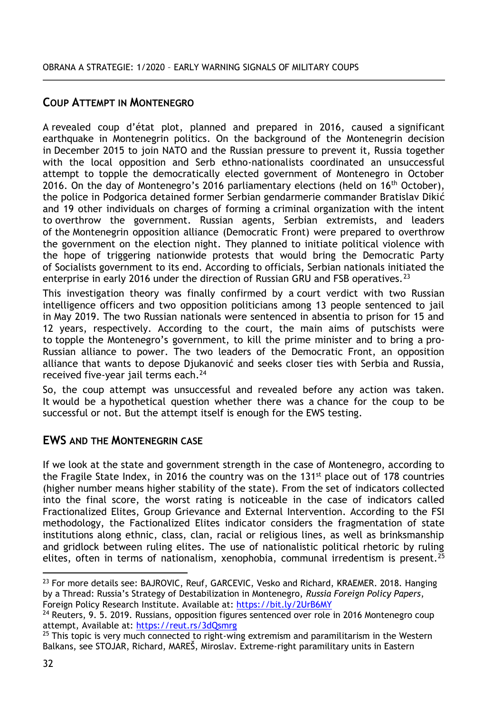## **COUP ATTEMPT IN MONTENEGRO**

A revealed coup d'état plot, planned and prepared in 2016, caused a significant earthquake in Montenegrin politics. On the background of the Montenegrin decision in December 2015 to join NATO and the Russian pressure to prevent it, Russia together with the local opposition and Serb ethno-nationalists coordinated an unsuccessful attempt to topple the democratically elected government of Montenegro in October 2016. On the day of Montenegro's 2016 parliamentary elections (held on  $16<sup>th</sup>$  October), the police in Podgorica detained former Serbian gendarmerie commander Bratislav Dikić and 19 other individuals on charges of forming a criminal organization with the intent to overthrow the government. Russian agents, Serbian extremists, and leaders of the Montenegrin opposition alliance (Democratic Front) were prepared to overthrow the government on the election night. They planned to initiate political violence with the hope of triggering nationwide protests that would bring the Democratic Party of Socialists government to its end. According to officials, Serbian nationals initiated the enterprise in early 2016 under the direction of Russian GRU and FSB operatives.<sup>23</sup>

This investigation theory was finally confirmed by a court verdict with two Russian intelligence officers and two opposition politicians among 13 people sentenced to jail in May 2019. The two Russian nationals were sentenced in absentia to prison for 15 and 12 years, respectively. According to the court, the main aims of putschists were to topple the Montenegro's government, to kill the prime minister and to bring a pro-Russian alliance to power. The two leaders of the Democratic Front, an opposition alliance that wants to depose Djukanović and seeks closer ties with Serbia and Russia, received five-year jail terms each.<sup>24</sup>

So, the coup attempt was unsuccessful and revealed before any action was taken. It would be a hypothetical question whether there was a chance for the coup to be successful or not. But the attempt itself is enough for the EWS testing.

# **EWS AND THE MONTENEGRIN CASE**

If we look at the state and government strength in the case of Montenegro, according to the Fragile State Index, in 2016 the country was on the 131 $<sup>st</sup>$  place out of 178 countries</sup> (higher number means higher stability of the state). From the set of indicators collected into the final score, the worst rating is noticeable in the case of indicators called Fractionalized Elites, Group Grievance and External Intervention. According to the FSI methodology, the Factionalized Elites indicator considers the fragmentation of state institutions along ethnic, class, clan, racial or religious lines, as well as brinksmanship and gridlock between ruling elites. The use of nationalistic political rhetoric by ruling elites, often in terms of nationalism, xenophobia, communal irredentism is present.<sup>25</sup>

<sup>&</sup>lt;sup>23</sup> For more details see: BAJROVIC, Reuf, GARCEVIC, Vesko and Richard, KRAEMER. 2018. Hanging by a Thread: Russia's Strategy of Destabilization in Montenegro, *Russia Foreign Policy Papers*, Foreign Policy Research Institute. Available at:<https://bit.ly/2UrB6MY>

 $24$  Reuters, 9. 5. 2019. Russians, opposition figures sentenced over role in 2016 Montenegro coup attempt, Available at:<https://reut.rs/3dQsmrg>

 $25$  This topic is very much connected to right-wing extremism and paramilitarism in the Western Balkans, see STOJAR, Richard, MAREŠ, Miroslav. Extreme-right paramilitary units in Eastern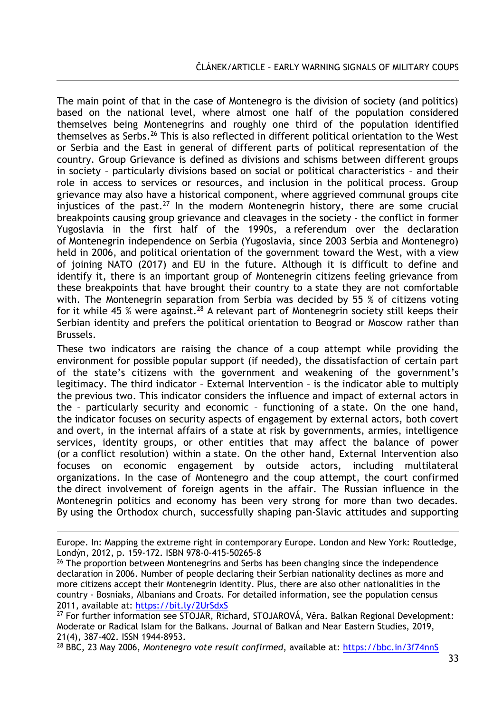The main point of that in the case of Montenegro is the division of society (and politics) based on the national level, where almost one half of the population considered themselves being Montenegrins and roughly one third of the population identified themselves as Serbs.<sup>26</sup> This is also reflected in different political orientation to the West or Serbia and the East in general of different parts of political representation of the country. Group Grievance is defined as divisions and schisms between different groups in society – particularly divisions based on social or political characteristics – and their role in access to services or resources, and inclusion in the political process. Group grievance may also have a historical component, where aggrieved communal groups cite injustices of the past.<sup>27</sup> In the modern Montenegrin history, there are some crucial breakpoints causing group grievance and cleavages in the society - the conflict in former Yugoslavia in the first half of the 1990s, a referendum over the declaration of Montenegrin independence on Serbia (Yugoslavia, since 2003 Serbia and Montenegro) held in 2006, and political orientation of the government toward the West, with a view of joining NATO (2017) and EU in the future. Although it is difficult to define and identify it, there is an important group of Montenegrin citizens feeling grievance from these breakpoints that have brought their country to a state they are not comfortable with. The Montenegrin separation from Serbia was decided by 55 % of citizens voting for it while 45 % were against.<sup>28</sup> A relevant part of Montenegrin society still keeps their Serbian identity and prefers the political orientation to Beograd or Moscow rather than Brussels.

These two indicators are raising the chance of a coup attempt while providing the environment for possible popular support (if needed), the dissatisfaction of certain part of the state's citizens with the government and weakening of the government's legitimacy. The third indicator – External Intervention – is the indicator able to multiply the previous two. This indicator considers the influence and impact of external actors in the – particularly security and economic – functioning of a state. On the one hand, the indicator focuses on security aspects of engagement by external actors, both covert and overt, in the internal affairs of a state at risk by governments, armies, intelligence services, identity groups, or other entities that may affect the balance of power (or a conflict resolution) within a state. On the other hand, External Intervention also focuses on economic engagement by outside actors, including multilateral organizations. In the case of Montenegro and the coup attempt, the court confirmed the direct involvement of foreign agents in the affair. The Russian influence in the Montenegrin politics and economy has been very strong for more than two decades. By using the Orthodox church, successfully shaping pan-Slavic attitudes and supporting

Europe. In: Mapping the extreme right in contemporary Europe. London and New York: Routledge, Londýn, 2012, p. 159-172. ISBN 978-0-415-50265-8

 $26$  The proportion between Montenegrins and Serbs has been changing since the independence declaration in 2006. Number of people declaring their Serbian nationality declines as more and more citizens accept their Montenegrin identity. Plus, there are also other nationalities in the country - Bosniaks, Albanians and Croats. For detailed information, see the population census 2011, available at:<https://bit.ly/2UrSdxS>

<sup>27</sup> For further information see STOJAR, Richard, STOJAROVÁ, Věra. Balkan Regional Development: Moderate or Radical Islam for the Balkans. Journal of Balkan and Near Eastern Studies, 2019, 21(4), 387-402. ISSN 1944-8953.

<sup>28</sup> BBC, 23 May 2006, *Montenegro vote result confirmed*, available at:<https://bbc.in/3f74nnS>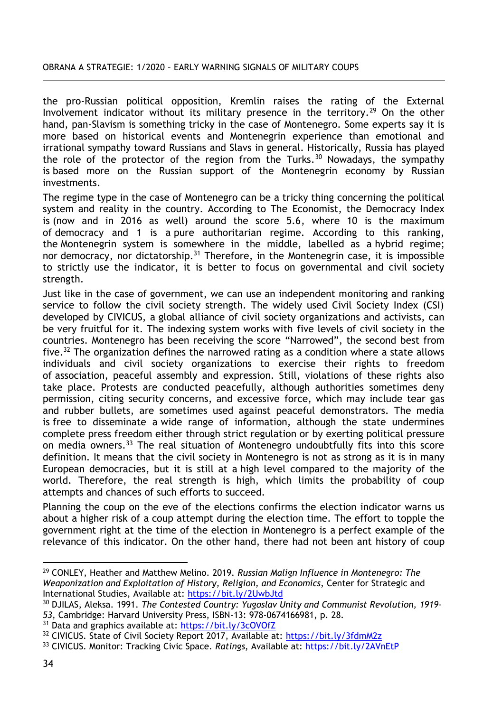#### OBRANA A STRATEGIE: 1/2020 – EARLY WARNING SIGNALS OF MILITARY COUPS

the pro-Russian political opposition, Kremlin raises the rating of the External Involvement indicator without its military presence in the territory.<sup>29</sup> On the other hand, pan-Slavism is something tricky in the case of Montenegro. Some experts say it is more based on historical events and Montenegrin experience than emotional and irrational sympathy toward Russians and Slavs in general. Historically, Russia has played the role of the protector of the region from the Turks. $30$  Nowadays, the sympathy is based more on the Russian support of the Montenegrin economy by Russian investments.

The regime type in the case of Montenegro can be a tricky thing concerning the political system and reality in the country. According to The Economist, the Democracy Index is (now and in 2016 as well) around the score 5.6, where 10 is the maximum of democracy and 1 is a pure authoritarian regime. According to this ranking, the Montenegrin system is somewhere in the middle, labelled as a hybrid regime; nor democracy, nor dictatorship.<sup>31</sup> Therefore, in the Montenegrin case, it is impossible to strictly use the indicator, it is better to focus on governmental and civil society strength.

Just like in the case of government, we can use an independent monitoring and ranking service to follow the civil society strength. The widely used Civil Society Index (CSI) developed by CIVICUS, a global alliance of civil society organizations and activists, can be very fruitful for it. The indexing system works with five levels of civil society in the countries. Montenegro has been receiving the score "Narrowed", the second best from five.<sup>32</sup> The organization defines the narrowed rating as a condition where a state allows individuals and civil society organizations to exercise their rights to freedom of association, peaceful assembly and expression. Still, violations of these rights also take place. Protests are conducted peacefully, although authorities sometimes deny permission, citing security concerns, and excessive force, which may include tear gas and rubber bullets, are sometimes used against peaceful demonstrators. The media is free to disseminate a wide range of information, although the state undermines complete press freedom either through strict regulation or by exerting political pressure on media owners.<sup>33</sup> The real situation of Montenegro undoubtfully fits into this score definition. It means that the civil society in Montenegro is not as strong as it is in many European democracies, but it is still at a high level compared to the majority of the world. Therefore, the real strength is high, which limits the probability of coup attempts and chances of such efforts to succeed.

Planning the coup on the eve of the elections confirms the election indicator warns us about a higher risk of a coup attempt during the election time. The effort to topple the government right at the time of the election in Montenegro is a perfect example of the relevance of this indicator. On the other hand, there had not been ant history of coup

<sup>29</sup> CONLEY, Heather and Matthew Melino. 2019. *Russian Malign Influence in Montenegro: The Weaponization and Exploitation of History, Religion, and Economics*, Center for Strategic and International Studies, Available at:<https://bit.ly/2UwbJtd>

<sup>30</sup> DJILAS, Aleksa. 1991. *The Contested Country: Yugoslav Unity and Communist Revolution, 1919- 53*, Cambridge: Harvard University Press, ISBN-13: 978-0674166981, p. 28.

<sup>31</sup> Data and graphics available at:<https://bit.ly/3cOVOfZ>

<sup>32</sup> CIVICUS. State of Civil Society Report 2017, Available at:<https://bit.ly/3fdmM2z>

<sup>33</sup> CIVICUS. Monitor: Tracking Civic Space. *Ratings*, Available at[: https://bit.ly/2AVnEtP](https://bit.ly/2AVnEtP)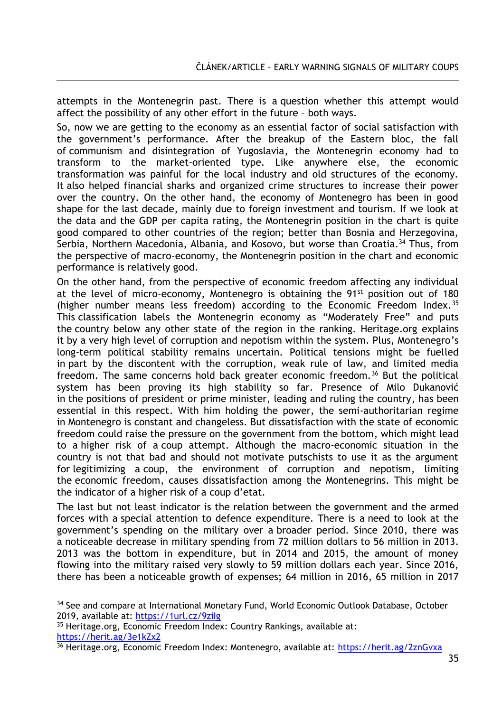attempts in the Montenegrin past. There is a question whether this attempt would affect the possibility of any other effort in the future – both ways.

So, now we are getting to the economy as an essential factor of social satisfaction with the government's performance. After the breakup of the Eastern bloc, the fall of communism and disintegration of Yugoslavia, the Montenegrin economy had to transform to the market-oriented type. Like anywhere else, the economic transformation was painful for the local industry and old structures of the economy. It also helped financial sharks and organized crime structures to increase their power over the country. On the other hand, the economy of Montenegro has been in good shape for the last decade, mainly due to foreign investment and tourism. If we look at the data and the GDP per capita rating, the Montenegrin position in the chart is quite good compared to other countries of the region; better than Bosnia and Herzegovina, Serbia, Northern Macedonia, Albania, and Kosovo, but worse than Croatia.<sup>34</sup> Thus, from the perspective of macro-economy, the Montenegrin position in the chart and economic performance is relatively good.

On the other hand, from the perspective of economic freedom affecting any individual at the level of micro-economy, Montenegro is obtaining the  $91<sup>st</sup>$  position out of 180 (higher number means less freedom) according to the Economic Freedom Index.<sup>35</sup> This classification labels the Montenegrin economy as "Moderately Free" and puts the country below any other state of the region in the ranking. Heritage.org explains it by a very high level of corruption and nepotism within the system. Plus, Montenegro's long-term political stability remains uncertain. Political tensions might be fuelled in part by the discontent with the corruption, weak rule of law, and limited media freedom. The same concerns hold back greater economic freedom.<sup>36</sup> But the political system has been proving its high stability so far. Presence of Milo Dukanović in the positions of president or prime minister, leading and ruling the country, has been essential in this respect. With him holding the power, the semi-authoritarian regime in Montenegro is constant and changeless. But dissatisfaction with the state of economic freedom could raise the pressure on the government from the bottom, which might lead to a higher risk of a coup attempt. Although the macro-economic situation in the country is not that bad and should not motivate putschists to use it as the argument for legitimizing a coup, the environment of corruption and nepotism, limiting the economic freedom, causes dissatisfaction among the Montenegrins. This might be the indicator of a higher risk of a coup d'etat.

The last but not least indicator is the relation between the government and the armed forces with a special attention to defence expenditure. There is a need to look at the government's spending on the military over a broader period. Since 2010, there was a noticeable decrease in military spending from 72 million dollars to 56 million in 2013. 2013 was the bottom in expenditure, but in 2014 and 2015, the amount of money flowing into the military raised very slowly to 59 million dollars each year. Since 2016, there has been a noticeable growth of expenses; 64 million in 2016, 65 million in 2017

35 Heritage.org, Economic Freedom Index: Country Rankings, available at: <https://herit.ag/3e1kZx2>

<sup>&</sup>lt;sup>34</sup> See and compare at International Monetary Fund, World Economic Outlook Database, October 2019, available at:<https://1url.cz/9ziIg>

<sup>36</sup> Heritage.org, Economic Freedom Index: Montenegro, available at:<https://herit.ag/2znGvxa>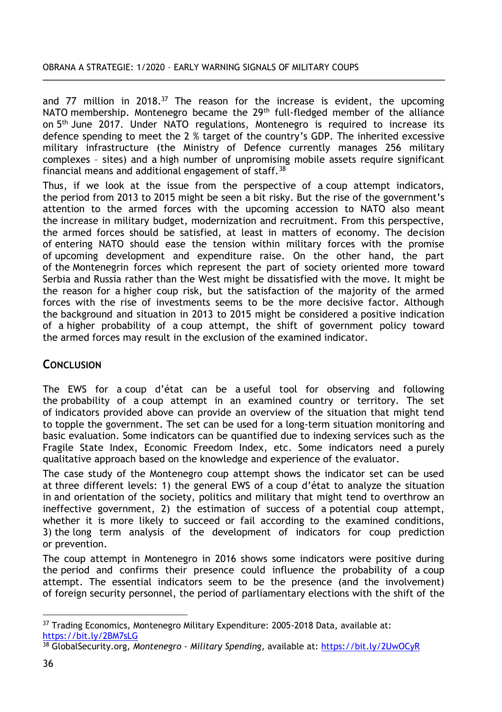and 77 million in 2018. $37$  The reason for the increase is evident, the upcoming NATO membership. Montenegro became the  $29<sup>th</sup>$  full-fledged member of the alliance on 5<sup>th</sup> June 2017. Under NATO regulations, Montenegro is required to increase its defence spending to meet the 2 % target of the country's GDP. The inherited excessive military infrastructure (the Ministry of Defence currently manages 256 military complexes – sites) and a high number of unpromising mobile assets require significant financial means and additional engagement of staff.<sup>38</sup>

Thus, if we look at the issue from the perspective of a coup attempt indicators, the period from 2013 to 2015 might be seen a bit risky. But the rise of the government's attention to the armed forces with the upcoming accession to NATO also meant the increase in military budget, modernization and recruitment. From this perspective, the armed forces should be satisfied, at least in matters of economy. The decision of entering NATO should ease the tension within military forces with the promise of upcoming development and expenditure raise. On the other hand, the part of the Montenegrin forces which represent the part of society oriented more toward Serbia and Russia rather than the West might be dissatisfied with the move. It might be the reason for a higher coup risk, but the satisfaction of the majority of the armed forces with the rise of investments seems to be the more decisive factor. Although the background and situation in 2013 to 2015 might be considered a positive indication of a higher probability of a coup attempt, the shift of government policy toward the armed forces may result in the exclusion of the examined indicator.

# **CONCLUSION**

The EWS for a coup d'état can be a useful tool for observing and following the probability of a coup attempt in an examined country or territory. The set of indicators provided above can provide an overview of the situation that might tend to topple the government. The set can be used for a long-term situation monitoring and basic evaluation. Some indicators can be quantified due to indexing services such as the Fragile State Index, Economic Freedom Index, etc. Some indicators need a purely qualitative approach based on the knowledge and experience of the evaluator.

The case study of the Montenegro coup attempt shows the indicator set can be used at three different levels: 1) the general EWS of a coup d'état to analyze the situation in and orientation of the society, politics and military that might tend to overthrow an ineffective government, 2) the estimation of success of a potential coup attempt, whether it is more likely to succeed or fail according to the examined conditions, 3) the long term analysis of the development of indicators for coup prediction or prevention.

The coup attempt in Montenegro in 2016 shows some indicators were positive during the period and confirms their presence could influence the probability of a coup attempt. The essential indicators seem to be the presence (and the involvement) of foreign security personnel, the period of parliamentary elections with the shift of the

 $\overline{a}$ <sup>37</sup> Trading Economics, Montenegro Military Expenditure: 2005-2018 Data, available at: <https://bit.ly/2BM7sLG>

<sup>38</sup> GlobalSecurity.org, *Montenegro - Military Spending*, available at:<https://bit.ly/2UwOCyR>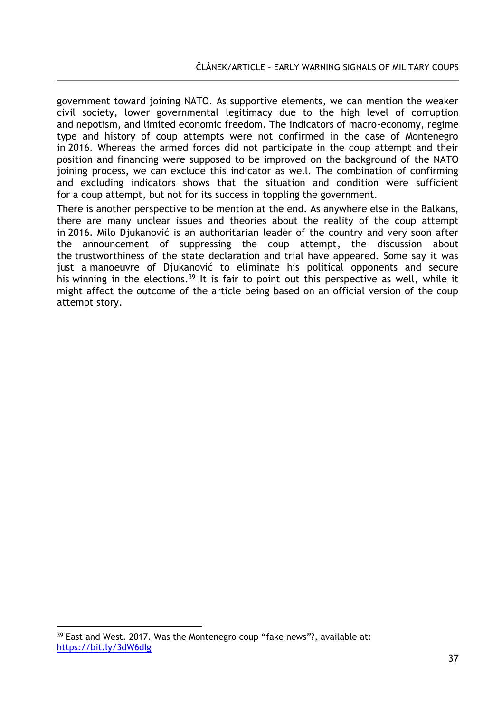government toward joining NATO. As supportive elements, we can mention the weaker civil society, lower governmental legitimacy due to the high level of corruption and nepotism, and limited economic freedom. The indicators of macro-economy, regime type and history of coup attempts were not confirmed in the case of Montenegro in 2016. Whereas the armed forces did not participate in the coup attempt and their position and financing were supposed to be improved on the background of the NATO joining process, we can exclude this indicator as well. The combination of confirming and excluding indicators shows that the situation and condition were sufficient for a coup attempt, but not for its success in toppling the government.

There is another perspective to be mention at the end. As anywhere else in the Balkans, there are many unclear issues and theories about the reality of the coup attempt in 2016. Milo Djukanović is an authoritarian leader of the country and very soon after the announcement of suppressing the coup attempt, the discussion about the trustworthiness of the state declaration and trial have appeared. Some say it was just a manoeuvre of Djukanović to eliminate his political opponents and secure his winning in the elections.<sup>39</sup> It is fair to point out this perspective as well, while it might affect the outcome of the article being based on an official version of the coup attempt story.

<sup>&</sup>lt;sup>39</sup> East and West. 2017. Was the Montenegro coup "fake news"?, available at: <https://bit.ly/3dW6dIg>